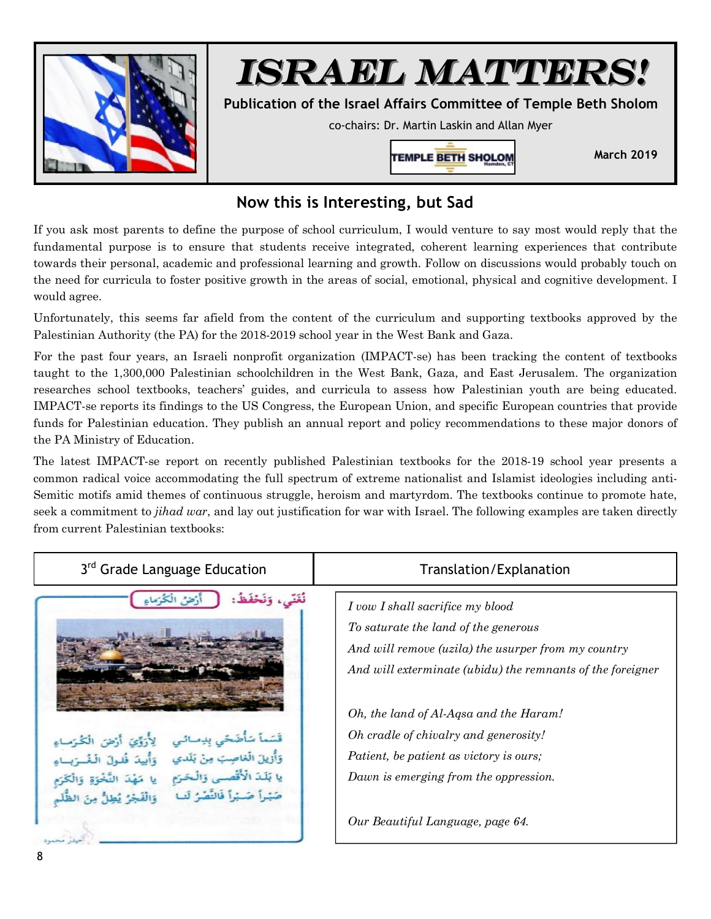

## *ISRAEL MATTERS!*

**Publication of the Israel Affairs Committee of Temple Beth Sholom** 

co-chairs: Dr. Martin Laskin and Allan Myer



**March 2019** 

## **Now this is Interesting, but Sad**

If you ask most parents to define the purpose of school curriculum, I would venture to say most would reply that the fundamental purpose is to ensure that students receive integrated, coherent learning experiences that contribute towards their personal, academic and professional learning and growth. Follow on discussions would probably touch on the need for curricula to foster positive growth in the areas of social, emotional, physical and cognitive development. I would agree.

Unfortunately, this seems far afield from the content of the curriculum and supporting textbooks approved by the Palestinian Authority (the PA) for the 2018-2019 school year in the West Bank and Gaza.

For the past four years, an Israeli nonprofit organization (IMPACT-se) has been tracking the content of textbooks taught to the 1,300,000 Palestinian schoolchildren in the West Bank, Gaza, and East Jerusalem. The organization researches school textbooks, teachers' guides, and curricula to assess how Palestinian youth are being educated. IMPACT-se reports its findings to the US Congress, the European Union, and specific European countries that provide funds for Palestinian education. They publish an annual report and policy recommendations to these major donors of the PA Ministry of Education.

The latest IMPACT-se report on recently published Palestinian textbooks for the 2018-19 school year presents a common radical voice accommodating the full spectrum of extreme nationalist and Islamist ideologies including anti-Semitic motifs amid themes of continuous struggle, heroism and martyrdom. The textbooks continue to promote hate, seek a commitment to *jihad war*, and lay out justification for war with Israel. The following examples are taken directly from current Palestinian textbooks:

| 3 <sup>rd</sup> Grade Language Education                                                                                                                                                 | Translation/Explanation                                                                                                                                                                                                                                                                                                                                              |
|------------------------------------------------------------------------------------------------------------------------------------------------------------------------------------------|----------------------------------------------------------------------------------------------------------------------------------------------------------------------------------------------------------------------------------------------------------------------------------------------------------------------------------------------------------------------|
| نغنى، وتخفظ<br>قَسَماً سَأَضَحّي بِدِمـائـي<br>وَأُزيلَ الْغاصِبَ مِنْ بَلَدي<br>لِأَرَوَّيَ أَرْضَ الْكُرَسَاءِ<br>يا بَلَدَ الْأَقْصَى وَالْحَرَمِ<br>صَيْداً صَيْداً فَالنَّصْرُ لَبِ | I vow I shall sacrifice my blood<br>To saturate the land of the generous<br>And will remove (uzila) the usurper from my country<br>And will exterminate (ubidu) the remnants of the foreigner<br>Oh, the land of Al-Aqsa and the Haram!<br>Oh cradle of chivalry and generosity!<br>Patient, be patient as victory is ours;<br>Dawn is emerging from the oppression. |
|                                                                                                                                                                                          | Our Beautiful Language, page 64.                                                                                                                                                                                                                                                                                                                                     |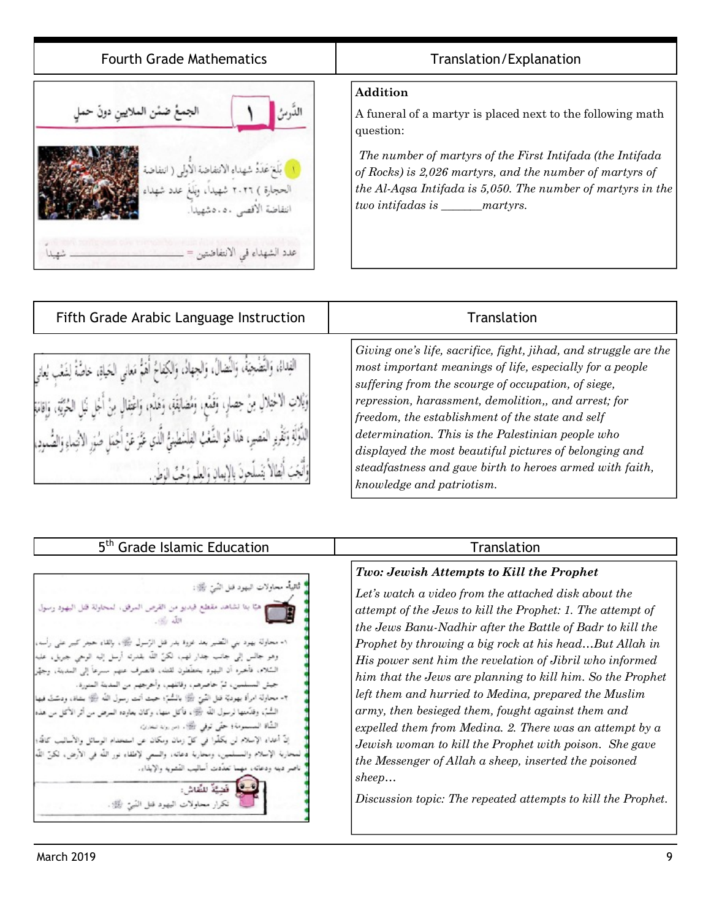| <b>Fourth Grade Mathematics</b>                                                                                                                                                           | Translation/Explanation                                                                                                                                                                                                                                                                                          |
|-------------------------------------------------------------------------------------------------------------------------------------------------------------------------------------------|------------------------------------------------------------------------------------------------------------------------------------------------------------------------------------------------------------------------------------------------------------------------------------------------------------------|
| الجمع ضمن الملايين دون حمل<br>ا بَلْغَ عَدَدُ شهداء الانتفاضة الاولى ( انتفاضة<br>الحجارة ) ٢٠٢٦ شهيداً، وَبَلَغَ عدد شهداء<br>انتقاضة الأقصى ٥٠.٥شهيداً.<br>عدد الشهداء في الانتفاضتين = | Addition<br>A funeral of a martyr is placed next to the following math<br>question:<br>The number of martyrs of the First Intifada (the Intifada<br>of Rocks) is 2,026 martyrs, and the number of martyrs of<br>the Al-Aqsa Intifada is 5,050. The number of martyrs in the<br>two intifadas is _______ martyrs. |

| Fifth Grade Arabic Language Instruction                                                                                                                                                                                                                                                                                                                                                                                                                                          | Translation                                                                                                                                                                                                                                                                                                                                                                                                                                                                                             |
|----------------------------------------------------------------------------------------------------------------------------------------------------------------------------------------------------------------------------------------------------------------------------------------------------------------------------------------------------------------------------------------------------------------------------------------------------------------------------------|---------------------------------------------------------------------------------------------------------------------------------------------------------------------------------------------------------------------------------------------------------------------------------------------------------------------------------------------------------------------------------------------------------------------------------------------------------------------------------------------------------|
| الفِداءُ، وَالنَّضْجِيَّةُ، وَالْنَصَالُ، وَالجِهَادُ، وَالكِفاحُ أَهْمُ مَعَانَى الحَياةِ، خاصَّةً لِشَعْب يُعاني<br>وَيْلاتِ الْأَخْتِلالِ مِنْ حِصَارٍ، وَقَمْمٍ، وَمُضَايَقَةٍ، وَهَذْمٍ، وَاعْتِقَالِ مِنْ أَجْلِ نَبْل الحُرْبَةِ، وَإِقَامَةِ<br>الدُّوَّلَةِ وَتَقْرِءِ المَصِيرِ، هَذا هُوَ الشَّعْبُ الفِلَسْطينِيُّ الَّذي عَيَّرَ عَنْ أَجْمَلِ صُوَرِ الأنْتِماءِ وَالصُّمودِ،<br>وَأَنَّعَتَ أَنْطَالُا تَنْسَلُحِينَ بِالْإِيمَانِ وَالْعَلَّمِ وَحْتُ الْوَطَنِي | Giving one's life, sacrifice, fight, jihad, and struggle are the<br>most important meanings of life, especially for a people<br>suffering from the scourge of occupation, of siege,<br>repression, harassment, demolition,, and arrest; for<br>freedom, the establishment of the state and self<br>determination. This is the Palestinian people who<br>displayed the most beautiful pictures of belonging and<br>steadfastness and gave birth to heroes armed with faith,<br>knowledge and patriotism. |

| 5 <sup>th</sup> Grade Islamic Education                                                                                                                                                                                                                                                                                                                                                                                                                                                                                                                                                                                                                                                                                                                                                                                                                                                                                                                                                                                 | Tra                                                                                                                                                                                                                                                                                                                                                                                          |  |
|-------------------------------------------------------------------------------------------------------------------------------------------------------------------------------------------------------------------------------------------------------------------------------------------------------------------------------------------------------------------------------------------------------------------------------------------------------------------------------------------------------------------------------------------------------------------------------------------------------------------------------------------------------------------------------------------------------------------------------------------------------------------------------------------------------------------------------------------------------------------------------------------------------------------------------------------------------------------------------------------------------------------------|----------------------------------------------------------------------------------------------------------------------------------------------------------------------------------------------------------------------------------------------------------------------------------------------------------------------------------------------------------------------------------------------|--|
| ا ئاتياً- محاولات البهود قتل النَّسَ ﷺ:<br>هيًا بنا تشاهد مقطع فيديو من القرص المرفق، لمحاولة قتل اليهود رسول<br>٩- محاولة بهود بني التَّضير بعد غووة بدر قبل الرَّسول ﷺ، بإلقاء حجز كبير على رأسه،<br>وهو جالس إلى جانب جدار لهم، لكنَّ اللَّه بقدرته أرسل إليه الوحى جريل، عليه<br>السِّلام، فأخبره أن اليهود بخطِّطون لقتك، فانصرف عنهم سنرعاً إلى المدينة، وجهِّز<br>جيش المسلمين، ثمَّ حاصرهم، وقاتلهم، وأخرجهم من المدينة المنورة.<br>٣- محاولة امرأة بهوديَّة قتل الشَّين ﷺ بالمُشمَّ؛ حيث أنت رسول الله ۞ بشاة، ودسَّتْ فيها<br>السُّنُّهِ، وقدَّمتها لرسول الله ﴿ وَاللَّهُ مَنْهَا، وَكَانَ يَعَاوَدُهُ السَّرْضُ مِنْ أَثَرَ الأَكل س هذه<br>الشَّاة المسمومة؛ حتَّى توفي الله . (س رزه لبعاري<br>إنَّ أعداه الإسلام لن يكفُّوا في كلِّ زمان ومكان عن استخدام الوسائل والأساليب كاقدٍّ؛<br>لمنحاربة الإسلام والمسلمين، ومحاربة دعاته، والسمي لإطفاء نور الله في الأرض، لكنَّ اللَّه<br>ناصر دينه ودعاته، مهما تعدَّدت أساليب القشويه والإيذاء.<br>فدعة بيقيدان<br>نكرار محاولات البهود قتل النَّسِ اللَّهُ . | Two: Jewish Attempts t<br>Let's watch a video from t<br>attempt of the Jews to kill<br>the Jews Banu-Nadhir af<br>Prophet by throwing a big<br>His power sent him the re<br>him that the Jews are pla<br>left them and hurried to N<br>army, then besieged them.<br>expelled them from Medin<br>Jewish woman to kill the<br>the Messenger of Allah as<br>sheep<br>Discussion topic: The repe |  |
|                                                                                                                                                                                                                                                                                                                                                                                                                                                                                                                                                                                                                                                                                                                                                                                                                                                                                                                                                                                                                         |                                                                                                                                                                                                                                                                                                                                                                                              |  |

## n Sation

## *Two: Jewish Attempts to Kill the Prophet*

*Let's watch a video from the attached disk about the k the Prophet: 1. The attempt of the Jews Banu-Nadhir after the Battle of Badr to kill the Prophet by throwing a big rock at his head…But Allah in His power sent him the revelation of Jibril who informed him that the Jews are planning to kill him. So the Prophet left them and hurried to Medina, prepared the Muslim army, then besieged them, fought against them and expelled them from Medina. 2. There was an attempt by a Jewish woman to kill the Prophet with poison. She gave*   $theep, inserted the poisoned$ 

*Discussion topic: The repeated attempts to kill the Prophet.*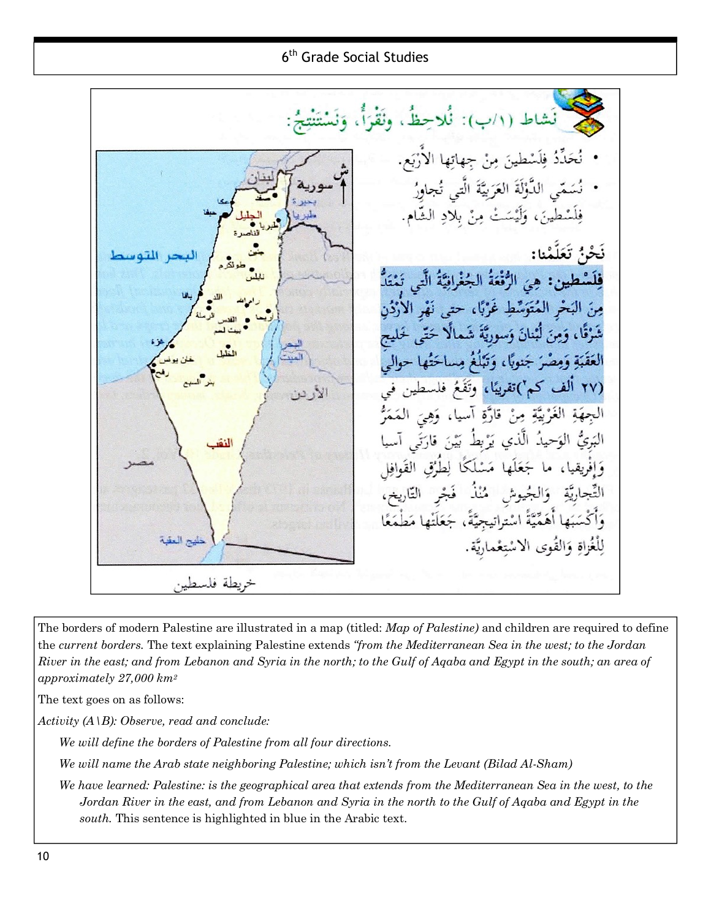6<sup>th</sup> Grade Social Studies

ط (١/ب): نُلاحِظٌ، ونَقْرَأٌ، حَدِّدُ فِلَسْطينَ مِنْ جِهاتِها الأَرْبَعِ. نُسَمّي الدُّؤلَةَ العَرَبِيَّةَ الَّتي تُجاوِرُ فِلَسْطِينَ، وَلَيْسَتْ مِنْ بِلَادِ الشَّ نَحْنُ تَعَلَّمْنا: فِلَسْطِينِ: هِيَ الرُّفْعَةُ الْجُغْرَافِيَّةُ الَّتِهِ مِنَ البَحْرِ الْمُتَوَسِّطِ غَرْبًا، حتى شَرْقًا، وَمِنَ لَبْنانَ وَسوريَّةَ شَمالًا الْعَقَبَةِ وَمِصْرَ جَنوبًا، وَتَبْلُغُ مِ (٢٧ الف كم')تقريبًا، وتَّة الأريز الجهَةِ الْغَرْبَيَّةِ مِنْ قارة البَرِئُ الوَحيدُ الَّذِي انقر فليج العقبة لِلْغُزاةِ وَالقُوى الاسْتِعْم خريطة فلسطين

The borders of modern Palestine are illustrated in a map (titled: *Map of Palestine)* and children are required to define the *current borders.* The text explaining Palestine extends *"from the Mediterranean Sea in the west; to the Jordan*  River in the east; and from Lebanon and Syria in the north; to the Gulf of Agaba and Egypt in the south; an area of *approximately 27,000 km<sup>2</sup>*

The text goes on as follows:

*Activity (A\B): Observe, read and conclude:* 

*We will define the borders of Palestine from all four directions.* 

*We will name the Arab state neighboring Palestine; which isn't from the Levant (Bilad Al-Sham)* 

We have learned: Palestine: is the geographical area that extends from the Mediterranean Sea in the west, to the *Jordan River in the east, and from Lebanon and Syria in the north to the Gulf of Aqaba and Egypt in the south.* This sentence is highlighted in blue in the Arabic text.